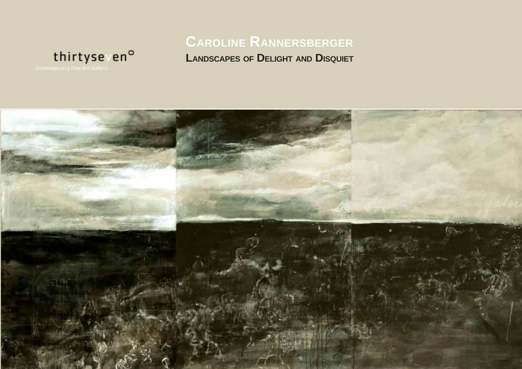# thirtyseven<sup>o</sup>

## **CAROLINE RANNERSBERGER LANDSCAPES OF DELIGHT AND DISQUIET**

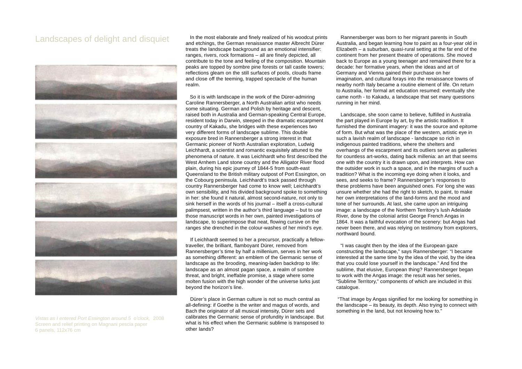### Landscapes of delight and disquiet



*Vistas as I entered Port Essington around 5 o'clock,* 2008 Screen and relief printing on Magnani pescia paper 6 panels, 112x76 cm

 In the most elaborate and finely realized of his woodcut prints and etchings, the German renaissance master Albrecht Dürer treats the landscape background as an emotional intensifier: ranges, rivers, rock formations – all are finely depicted, all contribute to the tone and feeling of the composition. Mountain peaks are topped by sombre pine forests or tall castle towers; reflections gleam on the still surfaces of pools, clouds frame and close off the teeming, trapped spectacle of the human realm.

 So it is with landscape in the work of the Dürer-admiring Caroline Rannersberger, a North Australian artist who needs some situating. German and Polish by heritage and descent, raised both in Australia and German-speaking Central Europe, resident today in Darwin, steeped in the dramatic escarpment country of Kakadu, she bridges with these experiences two very different forms of landscape sublime. This double exposure bred in Rannersberger a strong interest in that Germanic pioneer of North Australian exploration, Ludwig Leichhardt, a scientist and romantic exquisitely attuned to the phenomena of nature. It was Leichhardt who first described the West Arnhem Land stone country and the Alligator River flood plain, during his epic journey of 1844-5 from south-east Queensland to the British military outpost of Port Essington, on the Cobourg peninsula. Leichhardt's track passed through country Rannersberger had come to know well; Leichhardt's own sensibility, and his divided background spoke to something in her: she found it natural, almost second-nature, not only to sink herself in the words of his journal – itself a cross-cultural palimpsest, written in the author's third language – but to use those manuscript words in her own, painted investigations of landscape, to superimpose that neat, flowing cursive on the ranges she drenched in the colour-washes of her mind's eye.

 If Leichhardt seemed to her a precursor, practically a fellowtraveller, the brilliant, flamboyant Dürer, removed from Rannersberger's time by half a millenium, serves in her work as something different: an emblem of the Germanic sense of landscape as the brooding, meaning-laden backdrop to life: landscape as an almost pagan space, a realm of sombre threat, and bright, ineffable promise, a stage where some molten fusion with the high wonder of the universe lurks just beyond the horizon's line.

 Dürer's place in German culture is not so much central as all-defining: if Goethe is the writer and magus of words, and Bach the originator of all musical intensity, Dürer sets and calibrates the Germanic sense of profundity in landscape. But what is his effect when the Germanic sublime is transposed to other lands?

 Rannersberger was born to her migrant parents in South Australia, and began learning how to paint as a four-year old in Elizabeth – a suburban, quasi-rural setting at the far end of the continent from her present theatre of operations. She moved back to Europe as a young teenager and remained there for a decade: her formative years, when the ideas and art of Germany and Vienna gained their purchase on her imagination, and cultural forays into the renaissance towns of nearby north Italy became a routine element of life. On return to Australia, her formal art education resumed: eventually she came north - to Kakadu, a landscape that set many questions running in her mind.

 Landscape, she soon came to believe, fulfilled in Australia the part played in Europe by art, by the artistic tradition. It furnished the dominant imagery: it was the source and epitome of form. But what was the place of the western, artistic eye in such a lavish realm of landscape - landscape so rich in indigenous painted traditions, where the shelters and overhangs of the escarpment and its outliers serve as galleries for countless art-works, dating back millenia: an art that seems one with the country it is drawn upon, and interprets. How can the outsider work in such a space, and in the margins of such a tradition? What is the incoming eye doing when it looks, and sees, and seeks to frame? Rannersberger's responses to these problems have been anguished ones. For long she was unsure whether she had the right to sketch, to paint, to make her own interpretations of the land-forms and the mood and tone of her surrounds. At last, she came upon an intriguing image: a landscape of the Northern Territory's lush Adelaide River, done by the colonial artist George French Angas in 1864. It was a faithful evocation of the scenery: but Angas had never been there, and was relying on testimony from explorers, northward bound.

 "I was caught then by the idea of the European gaze constructing the landscape," says Rannersberger: "I became interested at the same time by the idea of the void, by the idea that you could lose yourself in the landscape." And find the sublime, that elusive, European thing? Rannersberger began to work with the Angas image: the result was her series, "Sublime Territory," components of which are included in this catalogue.

 "That image by Angas signified for me looking for something in the landscape – its beauty, its depth. Also trying to connect with something in the land, but not knowing how to."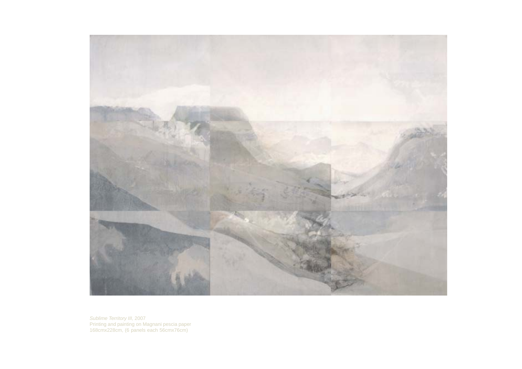

*Sublime Territory III,* 2007 Printing and painting on Magnani pescia paper 168cmx228cm, (6 panels each 56cmx76cm)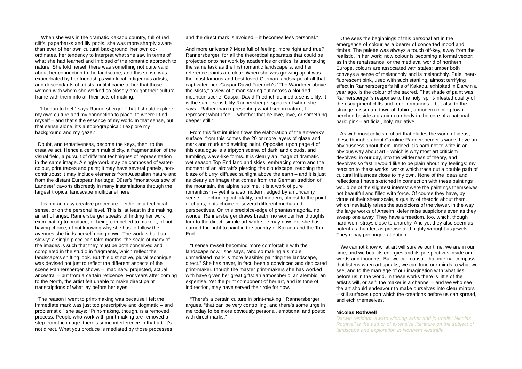When she was in the dramatic Kakadu country, full of red cliffs, paperbarks and lily pools, she was more sharply aware than ever of her own cultural background; her own coordinates, her tendency to interpret what she saw in terms of what she had learned and imbibed of the romantic approach to nature. She told herself there was something not quite valid about her connection to the landscape, and this sense was exacerbated by her friendships with local indigenous artists, and descendants of artists: until it came to her that those women with whom she worked so closely brought their cultural frame with them into all their acts of making.

 "I began to feel," says Rannersberger, "that I should explore my own culture and my connection to place, to where I find myself – and that's the essence of my work. In that sense, but that sense alone, it's autobiographical: I explore my background and my gaze."

 Doubt, and tentativeness, become the keys, then, to the creative act. Hence a certain multiplicity, a fragmentation of the visual field, a pursuit of different techniques of representation in the same image. A single work may be composed of watercolour, print traces and paint; it may have several panels, noncontinuous; it may include elements from Australian nature and from the distant European heritage: Dürer's "monstrous sow of Landser" cavorts discreetly in many instantiations through the largest tropical landscape multipanel here.

 It is not an easy creative procedure – either in a technical sense, or on the personal level. This is, at least in the making, an art of angst. Rannersberger speaks of finding her work excruciating to produce, of being compelled to make it, of not having choice, of not knowing why she has to follow the avenues she finds herself going down. The work is built up slowly: a single piece can take months: the scale of many of the images is such that they must be both conceived and completed in the studio in fragments, which reflect the landscape's shifting look. But this distinctive, plural technique was devised not just to reflect the different aspects of the scene Rannersberger shows – imaginary, projected, actual, ancestral – but from a certain reticence. For years after coming to the North, the artist felt unable to make direct paint transcriptions of what lay before her eyes.

 "The reason I went to print-making was because I felt the immediate mark was just too prescriptive and dogmatic – and problematic," she says: "Print-making, though, is a removed process. People who work with print-making are removed a step from the image: there's some interference in that art: it's not direct. What you produce is mediated by those processes

and the direct mark is avoided – it becomes less personal."

And more universal? More full of feeling, more right and true? Rannersberger, for all the theoretical apparatus that could be projected onto her work by academics or critics, is undertaking the same task as the first romantic landscapers, and her reference points are clear. When she was growing up, it was the most famous and best-loved German landscape of all that captivated her: Caspar David Friedrich's "The Wanderer above the Mists," a view of a man staring out across a clouded mountain scene. Caspar David Friedrich defined a sensibility: it is the same sensibility Rannersberger speaks of when she says: "Rather than representing what I see in nature, I represent what I feel – whether that be awe, love, or something deeper still."

 From this first intuition flows the elaboration of the art-work's surface; from this comes the 20 or more layers of glaze and mark and murk and swirling paint. Opposite, upon page 4 of this catalogue is a triptych scene, of dark, and clouds, and tumbling, wave-like forms. It is clearly an image of dramatic wet season Top End land and skies, embracing storm and the moment of an aircraft's piercing the cloudscape, reaching the blaze of blurry, diffused sunlight above the earth – and it is just as clearly an image that comes from the German tradition of the mountain, the alpine sublime. It is a work of pure romanticism – yet it is also modern, edged by an uncanny sense of technological fatality, and modern, almost to the point of chaos, in its choice of several different media and perspectives. On this precipice-edge of phantasmagoria, no wonder Rannersberger draws breath: no wonder her thoughts turn to the direct, simple art-work she may now feel she has earned the right to paint in the country of Kakadu and the Top End.

 "I sense myself becoming more comfortable with the landscape now," she says, "and so making a simple, unmediated mark is more feasible: painting the landscape, direct." She has never, in fact, been a convinced and dedicated print-maker, though the master print-makers she has worked with have given her great gifts: an atmospheric, an alembic, an expertise. Yet the print component of her art, and its tone of indirection, may have served their role for now.

 "There's a certain culture in print-making," Rannersberger argues, "that can be very controlling, and there's some urge in me today to be more obviously personal, emotional and poetic, with direct marks."

 One sees the beginnings of this personal art in the emergence of colour as a bearer of concerted mood and timbre. The palette was always a touch off-key, away from the realistic, in her work: now colour is becoming a formal vector: as in the renaissance, or the medieval world of northern Europe, colours are associated with states: umber both conveys a sense of melancholy and is melancholy. Pale, nearfluorescent pink, used with such startling, almost terrifying effect in Rannersberger's hills of Kakadu, exhibited in Darwin a year ago, is the colour of the sacred. That shade of paint was Rannersberger's response to the holy, spirit-infested quality of the escarpment cliffs and rock formations – but also to the strange, dissonant town of Jabiru, a modern mining town perched beside a uranium orebody in the core of a national park: pink – artificial, holy, radiative.

 As with most criticism of art that eludes the world of ideas, these thoughts about Caroline Rannersberger's works have an obviousness about them. Indeed it is hard not to write in an obvious way about art – which is why most art criticism devolves, in our day, into the wilderness of theory, and devolves so fast. I would like to be plain about my feelings: my reaction to these works, works which trace out a double path of cultural influences close to my own. None of the ideas and reflections I have sketched in connection with these paintings would be of the slightest interest were the paintings themselves not beautiful and filled with force. Of course they have, by virtue of their sheer scale, a quality of rhetoric about them, which inevitably raises the suspicions of the viewer, in the way the large works of Anselm Kiefer raise suspicions even as they sweep one away. They have a freedom, too, which, though hard-won, strays close to anarchy. And yet they also seem as potent as thunder, as precise and highly wrought as jewels. They repay prolonged attention.

 We cannot know what art will survive our time: we are in our time, and we bear its energies and its perspectives inside our words and thoughts. But we can consult that internal compass that listens when art speaks; we can tune our minds to what we see, and to the marriage of our imagination with what lies before us in the world. In these works there is little of the artist's will, or self: the maker is a channel – and we who see the art should endeavour to make ourselves into clear mirrors – still surfaces upon which the creations before us can spread, and etch themselves.

#### **Nicolas Rothwell**

*Darwin resident, award winning writer and journalist Nicolas Rothwell is the author of extensive literature on the subject of landscape and exploration in Northern Australia.*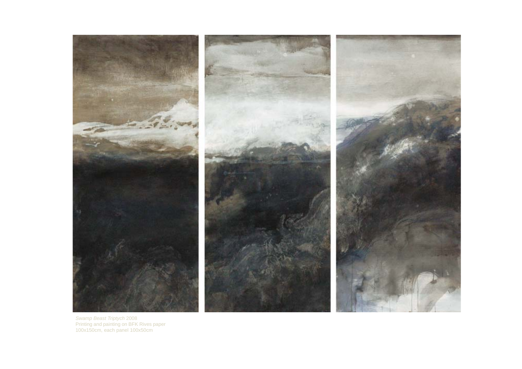

*Swamp Beast Triptych* 2008 Printing and painting on BFK Rives paper 100x150cm, each panel 100x50cm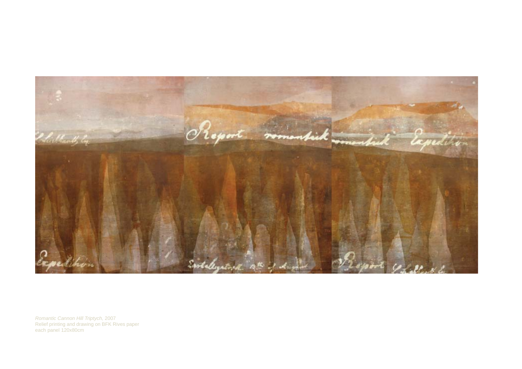

*Romantic Cannon Hill Triptych,* 2007 Relief printing and drawing on BFK Rives paper each panel 120x80cm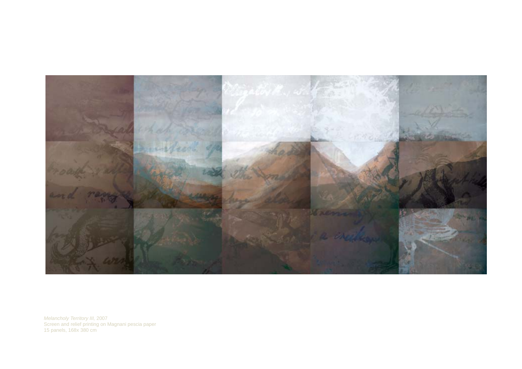

*Melancholy Territory III,* 2007 Screen and relief printing on Magnani pescia paper 15 panels, 168x 380 cm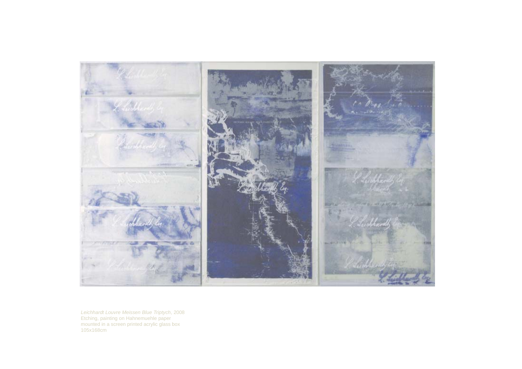

*Leichhardt Louvre Meissen Blue Triptych*, 2008 Etching, painting on Hahnemuehle paper mounted in a screen printed acrylic glass box 105x168cm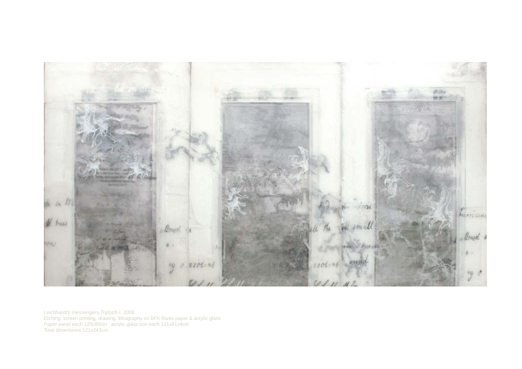

*Leichhardt's messengers,Triptych I*, 2008 Etching, screen printing, drawing, lithography on BFK Rives paper & acrylic glass Paper panel each 120x80cm ; acrylic glass box each 121x81x4cm Total dimensions 121x243cm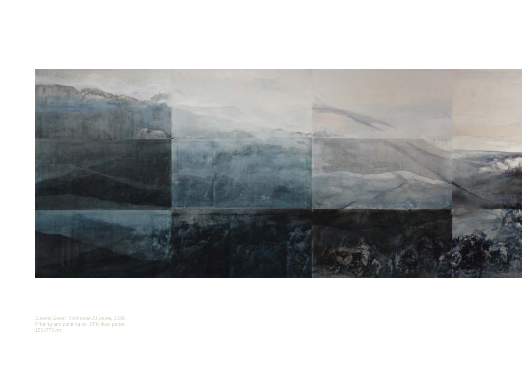

*Swamp Beast Stampede 21 panel*, 2008 Printing and painting on BFK rives paper 150x770cm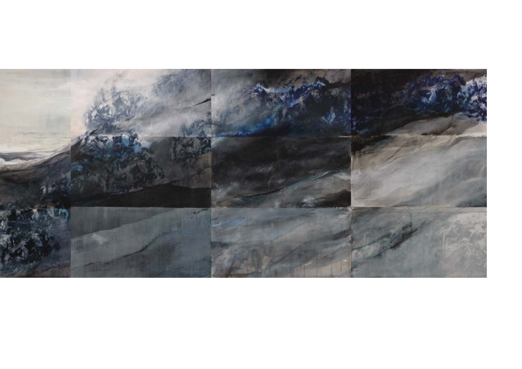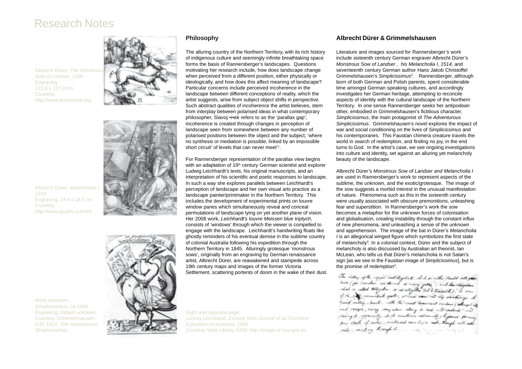### Research Notes

Albrecht Dürer, *The Monstrous Sow of Landser*, 1496 **Engraving** 121.0 x 127.0 cm **Courtesy** http://www.artrenewal.org







#### **Philosophy**

The alluring country of the Northern Territory, with its rich history of indigenous culture and seemingly infinite breathtaking space forms the basis of Rannersberger's landscapes. Questions motivating her research include, how does landscape change when perceived from a different position, either physically or ideologically, and how does this affect meaning of landscape? Particular concerns include perceived incoherence in the landscape between different conceptions of reality, which the artist suggests, arise from subject object shifts in perspective. Such abstract qualities of incoherence the artist believes, stem from interplay between polarised ideas in what contemporary philosopher, Slavoj •i•ek refers to as the 'parallax gap'; incoherence is created through changes in perception of landscape seen from somewhere between any number of polarised positions between the object and the subject, 'where no synthesis or mediation is possible, linked by an impossible short circuit' of levels that can never meet'1.

For Rannersberger representation of the parallax view begins with an adaptation of 19<sup>th</sup> century German scientist and explorer Ludwig Leichhardt's texts, his original manuscripts, and an interpretation of his scientific and poetic responses to landscape. In such a way she explores parallels between Leichhardt's perception of landscape and her own visual arts practice as a landscape painter/printmaker in the Northern Territory. This includes the development of experimental prints on louvre window panes which simultaneously reveal and conceal permutations of landscape lying on yet another plane of vision. Her 2008 work, *Leichhardt's louvre Meissen blue triptych*, consists of 'windows' through which the viewer is compelled to engage with the landscape. Leichhardt's handwriting floats like ghostly reminders of his eventual demise in the sublime country of colonial Australia following his expedition through the Northern Territory in 1845. Alluringly grotesque 'monstrous sows', originally from an engraving by German renaissance artist, Albrecht Dürer, are reawakened and stampede across 19th century maps and images of the former Victoria Settlement, scattering portents of doom in the wake of their dust.

Right and opposite page Ludwig Leichhardt, *Excerpt from Journal of an Overland Expedition in Australia*, 1845 Courtesy State Library NSW; http://image.sl.nsw.gov.au

#### **Albrecht Dürer & Grimmelshausen**

Literature and images sourced for Rannersberger's work include sixteenth century German engraver Albrecht Dürer's *Monstrous Sow of Landser , his Melancholia I, 1514,* and seventeenth century German author Hans Jakob Christoffel Grimmelshausen's *Simplicissimus2.* Rannersberger, although born of both German and Polish parents, spent considerable time amongst German speaking cultures, and accordingly investigates her German heritage, attempting to reconcile aspects of identity with the cultural landscape of the Northern Territory. In one sense Rannersberger seeks her antipodean other, embodied in Grimmelshausen's fictitious character, *Simplicissimus*, the main protagonist of *The Adventurous Simplicissimus*. Grimmelshausen's novel explores the impact of war and social conditioning on the lives of *Simplicissimus* and his contemporaries. This Faustian chimera creature travels the world in search of redemption, and finding no joy, in the end turns to God. In the artist's case, we see ongoing investigations into culture and identity, set against an alluring yet melancholy beauty of the landscape.

Albrecht Dürer's *Monstrous Sow of Landser and Melancholia I* are used in Rannersberger's work to represent aspects of the sublime, the unknown, and the exotic/grotesque. The image of the sow suggests a morbid interest in the unusual manifestation of nature. Phenomena such as this in the sixteenth century were usually associated with obscure premonitions, unleashing fear and superstition. In Rannersberger's work the sow becomes a metaphor for the unknown forces of colonisation and globalisation, creating instability through the constant influx of new phenomena, and unleashing a sense of the unknown and apprehension. The image of the bat in Dürer's *Melancholia I* is an allegorical winged figure which symbolizes the first state of melancholy3*.* In a colonial context, Dürer and the subject of melancholy is also discussed by Australian art theorist, Ian McLean, who tells us that Dürer's melancholia is not Satan's sign [as we see in the Faustian image of *Simplicissimus*], but is

the visitary of the region contributions which is visitar thought call given<br>the visitary of the region contributions of the internal parties and the change<br>time (for conclusion are attenual in many given and the changelin

Albrecht Dürer, *Melancholia I*, 1514 Engraving, 24.0 x 18.5 cm **Courtesy** http://www.glyphs.com/art

Artist unknown*, Simplicissimus,* ca 1668

*Simplicissimus*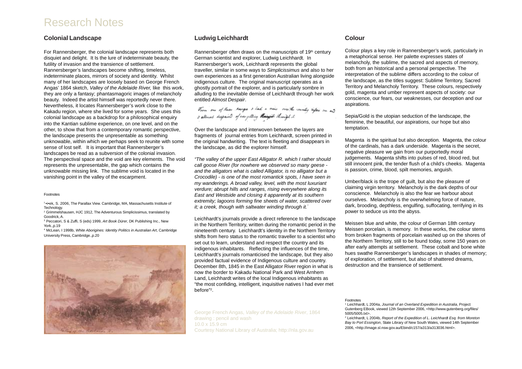### Research Notes

#### **Colonial Landscape**

For Rannersberger, the colonial landscape represents both disquiet and delight. It Is the lure of indeterminate beauty, the futility of invasion and the transience of settlement. Rannersberger's landscapes become shifting, timeless, indeterminate places, mirrors of society and identity. Whilst many of her landscapes are loosely based on George French Angas' 1864 sketch, *Valley of the Adelaide River,* like this work, they are only a fantasy; phantasmagoric images of melancholy beauty. Indeed the artist himself was reportedly never there. Nevertheless, it locates Rannersberger's work close to the Kakadu region, where she lived for some years. She uses this colonial landscape as a backdrop for a philosophical enquiry into the Kantian sublime experience, on one level, and on the other, to show that from a contemporary romantic perspective, the landscape presents the unpresentable as something unknowable, within which we perhaps seek to reunite with some sense of lost self. It is important that Rannersberger's landscapes be read as a subversion of the colonial invasion. The perspectival space and the void are key elements. The void represents the unpresentable, the gap which contains the unknowable missing link. The sublime void is located in the vanishing point in the valley of the escarpment.

#### Footnotes

1 •i•ek, S. 2006, The Parallax View. Cambridge, MA, Massachusetts Institute of **Technology** 

<sup>2</sup> Grimmelshausen, HJC 1912, The Adventurous Simplicissimus, translated by Goodrick, A.

3 Peccatori, S & Zuffi, S (eds) 1999, *Art Book Dürer*, DK Publishing Inc., New York.,p.19

4 McLean, I 1998b, *White Aborigines: Identity Politics in Australian Art*, Cambridge University Press, Cambridge.,p.20



#### **Ludwig Leichhardt**

Rannersberger often draws on the manuscripts of 19<sup>th</sup> century German scientist and explorer, Ludwig Leichhardt. In Rannersberger's work, Leichhardt represents the global traveller, similar in some ways to *Simplicissimus* and also to her own experiences as a first generation Australian living alongside indigenous culture. The original manuscript operates as a ghostly portrait of the explorer, and is particularly sombre in alluding to the inevitable demise of Leichhardt through her work entitled *Almost Despair*.

From our of these Ranges & lad a view-vinithe inentity before ou all.<br>Estimate despaired of earyetting thought through it.

Over the landscape and interwoven between the layers are fragments of journal entries from Leichhardt, screen printed in the original handwriting. The text is fleeting and disappears in the landscape, as did the explorer himself.

*"The valley of the upper East Alligator R. which I rather should call goose River (for nowhere we observed so many geese and the alligators what is called Alligator, is no alligator but a Crocodile) - is one of the most romantick spots, I have seen in my wanderings. A broad valley, level, with the most luxuriant verdure; abrupt hills and ranges, rising everywhere along its East and Westside and closing it apparently at its southern extremity; lagoons forming fine sheets of water, scattered over it; a creek, though with saltwater winding through it."*

Leichhardt's journals provide a direct reference to the landscape in the Northern Territory, written during the romantic period in the nineteenth century. Leichhardt's identity in the Northern Territory shifts from hero status to the romantic traveller to a scientist who set out to learn, understand and respect the country and its indigenous inhabitants. Reflecting the influences of the time, Leichhardt's journals romanticised the landscape, but they also provided factual evidence of Indigenous culture and country. December 8th, 1845 in the East Alligator River region in what is now the border to Kakadu National Park and West Arnhem Land, Leichhardt writes of the local Indigenous inhabitants as "the most confiding, intelligent, inquisitive natives I had ever met before"2.

George French Angas, *Valley of the Adelaide River*, 1864 drawing : pencil and wash 10.0 x 15.9 cm Courtesy National Library of Australia; http://nla.gov.au

#### **Colour**

Colour plays a key role in Rannersberger's work, particularly in a metaphorical sense. Her palette expresses states of melancholy, the sublime, the sacred and aspects of memory, both from an historical and a personal perspective. The interpretation of the sublime differs according to the colour of the landscape, as the titles suggest: Sublime Territory, Sacred Territory and Melancholy Territory. These colours, respectively gold, magenta and umber represent aspects of society: our conscience, our fears, our weaknesses, our deception and our aspirations.

Sepia/Gold is the utopian seduction of the landscape, the feminine, the beautiful, our aspirations, our hope but also temptation.

Magenta is the spiritual but also deception. Magenta, the colour of the cardinals, has a dark underside. Magenta is the secret, negative pleasure we gain from our purportedly moral judgements. Magenta shifts into pulses of red, blood red, but still innocent pink, the tender flush of a child's cheeks. Magenta is passion, crime, blood, spilt memories, anguish.

Umber/black is the trope of guilt, but also the pleasure of claiming virgin territory. Melancholy is the dark depths of our conscience. Melancholy is also the fear we harbour about ourselves. Melancholy is the overwhelming force of nature, dark, brooding, depthless, engulfing, suffocating, terrifying in its power to seduce us into the abyss.

Meissen blue and white, the colour of German 18th century Meissen porcelain, is memory. In these works, the colour stems from broken fragments of porcelain washed up on the shores of the Northern Territory, still to be found today, some 150 years on after early attempts at settlement. These cobalt and bone white hues swathe Rannersberger's landscapes in shades of memory; of exploration, of settlement, but also of shattered dreams, destruction and the transience of settlement.

Footnotes

1 Leichhardt, L 2004a, *Journal of an Overland Expedition in Australia*, Project Gutenberg EBook, viewed 12th September 2006, <http://www.gutenberg.org/files/ 5005/5005.txt>.

2 Leichhardt, L 2004b, *Report of the Expedition of L. Leichhardt Esq. from Moreton Bay to Port Essington*, State Library of New South Wales, viewed 14th September 2006, <http://image.sl.nsw.gov.au/Ebind/c157/a313/a313036.html>.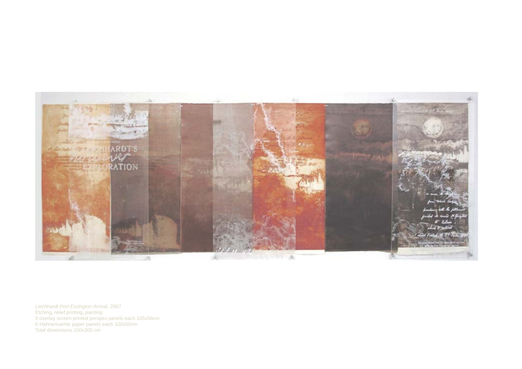

*Leichhardt Port Essington Arrival,* 2007 Etching, relief printing, painting 3 overlay screen printed perspex panels each 105x56cm 6 Hahnemuehle paper panels each 100x50cm Total dimensions 100x300 cm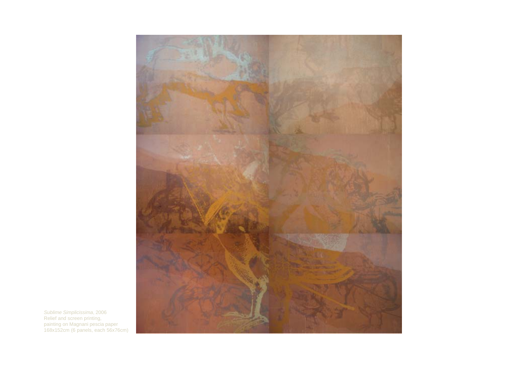

*Sublime Simplicissima*, 2006 Relief and screen printing, painting on Magnani pescia paper 168x152cm (6 panels, each 56x76cm)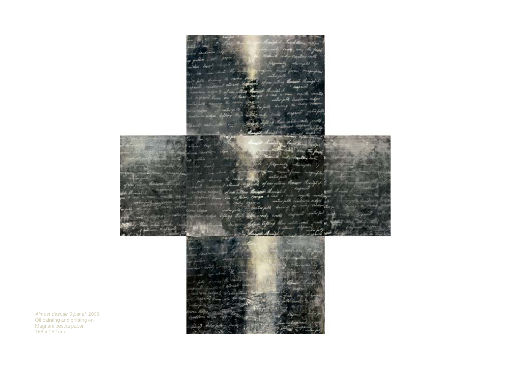

*Almost despair 5 panel,* 2008 Oil painting and printing on Magnani pescia paper 168 x 152 cm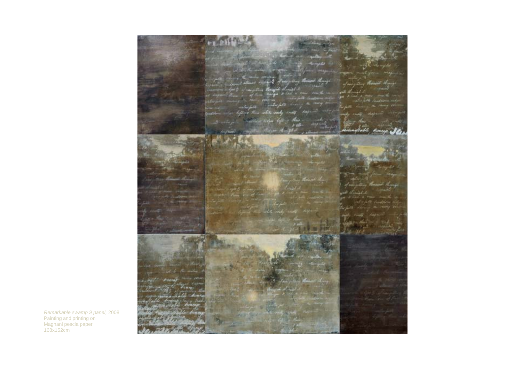

*Remarkable swamp 9 panel,* 2008 Painting and printing on Magnani pescia paper 168x152cm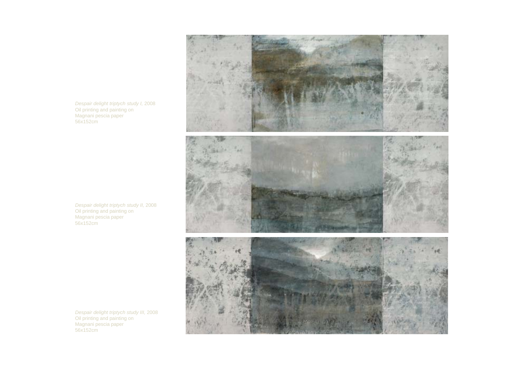*Despair delight triptych study I,* 2008 Oil printing and painting on Magnani pescia paper 56x152cm

*Despair delight triptych study II,* 2008 Oil printing and painting on Magnani pescia paper 56x152cm

*Despair delight triptych study III,* 2008 Oil printing and painting on Magnani pescia paper 56x152cm

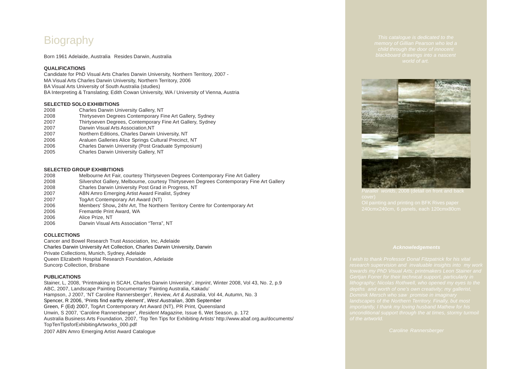### Biography

Born 1961 Adelaide, Australia Resides Darwin, Australia

#### **QUALIFICATIONS**

Candidate for PhD Visual Arts Charles Darwin University, Northern Territory, 2007 - MA Visual Arts Charles Darwin University, Northern Territory, 2006 BA Visual Arts University of South Australia (studies) BA Interpreting & Translating; Edith Cowan University, WA / University of Vienna, Austria

#### **SELECTED SOLO EXHIBITIONS**

- 2008 Charles Darwin University Gallery, NT
- 2008 Thirtyseven Degrees Contemporary Fine Art Gallery, Sydney<br>2007 Thirtyseven Degrees Contemporary Fine Art Gallery, Sydney
- 2007 Thirtyseven Degrees, Contemporary Fine Art Gallery, Sydney<br>2007 Darwin Visual Arts Association NT
- Darwin Visual Arts Association, NT
- 2007 **Northern Editions, Charles Darwin University, NT**<br>2006 **Araluen Galleries Alice Springs Cultural Precinct.**
- 2006 Araluen Galleries Alice Springs Cultural Precinct, NT
- Charles Darwin University (Post Graduate Symposium)
- 2005 Charles Darwin University Gallery, NT

#### **SELECTED GROUP EXHIBITIONS**

- 2008 Melbourne Art Fair, courtesy Thirtyseven Degrees Contemporary Fine Art Gallery
- 2008 Silvershot Gallery, Melbourne, courtesy Thirtyseven Degrees Contemporary Fine Art Gallery
- 2008 Charles Darwin University Post Grad in Progress, NT
- 2007 ABN Amro Emerging Artist Award Finalist, Sydney
- 2007 TogArt Contemporary Art Award (NT)
- 2006 Members' Show**,** 24hr Art, The Northern Territory Centre for Contemporary Art
- Fremantle Print Award, WA
- 2006 Alice Prize, NT
- 2006 Darwin Visual Arts Association "Terra", NT

#### **COLLECTIONS**

Cancer and Bowel Research Trust Association, Inc, Adelaide Charles Darwin University Art Collection, Charles Darwin University, Darwin Private Collections, Munich, Sydney, Adelaide Queen Elizabeth Hospital Research Foundation, Adelaide Suncorp Collection, Brisbane

#### **PUBLICATIONS**

Stainer, L, 2008, 'Printmaking in SCAH, Charles Darwin University', *Imprint*, Winter 2008, Vol 43, No. 2, p.9 ABC, 2007, Landscape Painting Documentary 'Painting Australia, Kakadu' Hampson, J 2007, 'NT Caroline Rannersberger', Review, *Art & Australia*, Vol 44, Autumn, No. 3 Spencer, R 2006, 'Prints find earthy element', *West Australian*, 30th September Green, F (Ed) 2007, TogArt Contemporary Art Award (NT), PR Print, Queensland Unwin, S 2007, 'Caroline Rannersberger', *Resident Magazine,* Issue 6, Wet Season, p. 172 Australia Business Arts Foundation, 2007, 'Top Ten Tips for Exhibiting Artists' http://www.abaf.org.au/documents/ TopTenTipsforExhibitingArtworks\_000.pdf 2007 ABN Amro Emerging Artist Award Catalogue